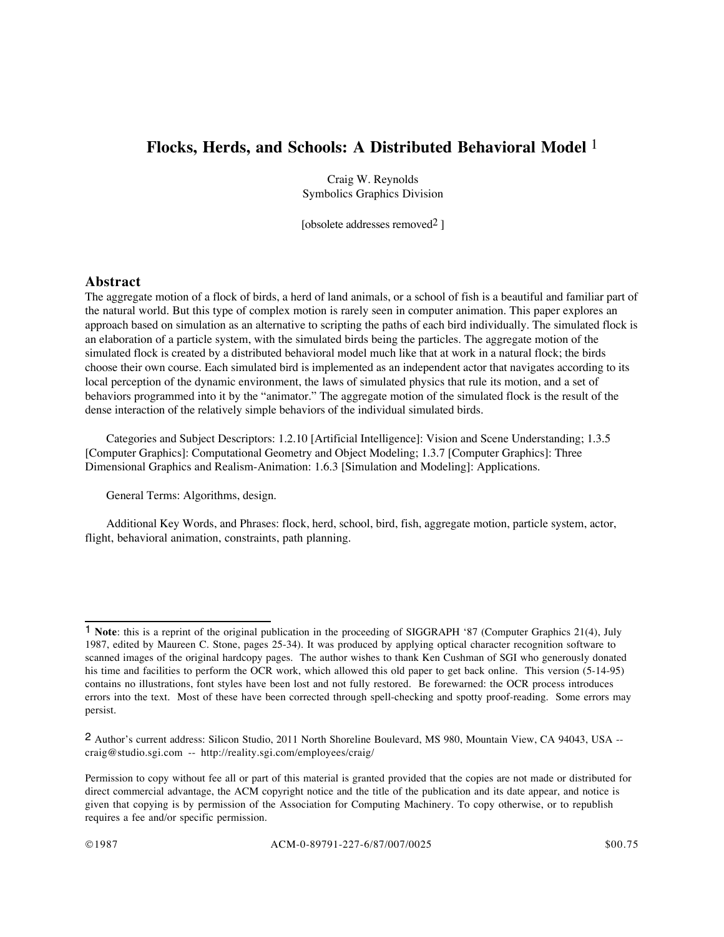# **Flocks, Herds, and Schools: A Distributed Behavioral Model** 1

Craig W. Reynolds Symbolics Graphics Division

[obsolete addresses removed2 ]

## **Abstract**

The aggregate motion of a flock of birds, a herd of land animals, or a school of fish is a beautiful and familiar part of the natural world. But this type of complex motion is rarely seen in computer animation. This paper explores an approach based on simulation as an alternative to scripting the paths of each bird individually. The simulated flock is an elaboration of a particle system, with the simulated birds being the particles. The aggregate motion of the simulated flock is created by a distributed behavioral model much like that at work in a natural flock; the birds choose their own course. Each simulated bird is implemented as an independent actor that navigates according to its local perception of the dynamic environment, the laws of simulated physics that rule its motion, and a set of behaviors programmed into it by the "animator." The aggregate motion of the simulated flock is the result of the dense interaction of the relatively simple behaviors of the individual simulated birds.

Categories and Subject Descriptors: 1.2.10 [Artificial Intelligence]: Vision and Scene Understanding; 1.3.5 [Computer Graphics]: Computational Geometry and Object Modeling; 1.3.7 [Computer Graphics]: Three Dimensional Graphics and Realism-Animation: 1.6.3 [Simulation and Modeling]: Applications.

General Terms: Algorithms, design.

Additional Key Words, and Phrases: flock, herd, school, bird, fish, aggregate motion, particle system, actor, flight, behavioral animation, constraints, path planning.

<sup>1</sup> **Note**: this is a reprint of the original publication in the proceeding of SIGGRAPH '87 (Computer Graphics 21(4), July 1987, edited by Maureen C. Stone, pages 25-34). It was produced by applying optical character recognition software to scanned images of the original hardcopy pages. The author wishes to thank Ken Cushman of SGI who generously donated his time and facilities to perform the OCR work, which allowed this old paper to get back online. This version (5-14-95) contains no illustrations, font styles have been lost and not fully restored. Be forewarned: the OCR process introduces errors into the text. Most of these have been corrected through spell-checking and spotty proof-reading. Some errors may persist.

<sup>2</sup> Authorís current address: Silicon Studio, 2011 North Shoreline Boulevard, MS 980, Mountain View, CA 94043, USA - craig@studio.sgi.com -- http://reality.sgi.com/employees/craig/

Permission to copy without fee all or part of this material is granted provided that the copies are not made or distributed for direct commercial advantage, the ACM copyright notice and the title of the publication and its date appear, and notice is given that copying is by permission of the Association for Computing Machinery. To copy otherwise, or to republish requires a fee and/or specific permission.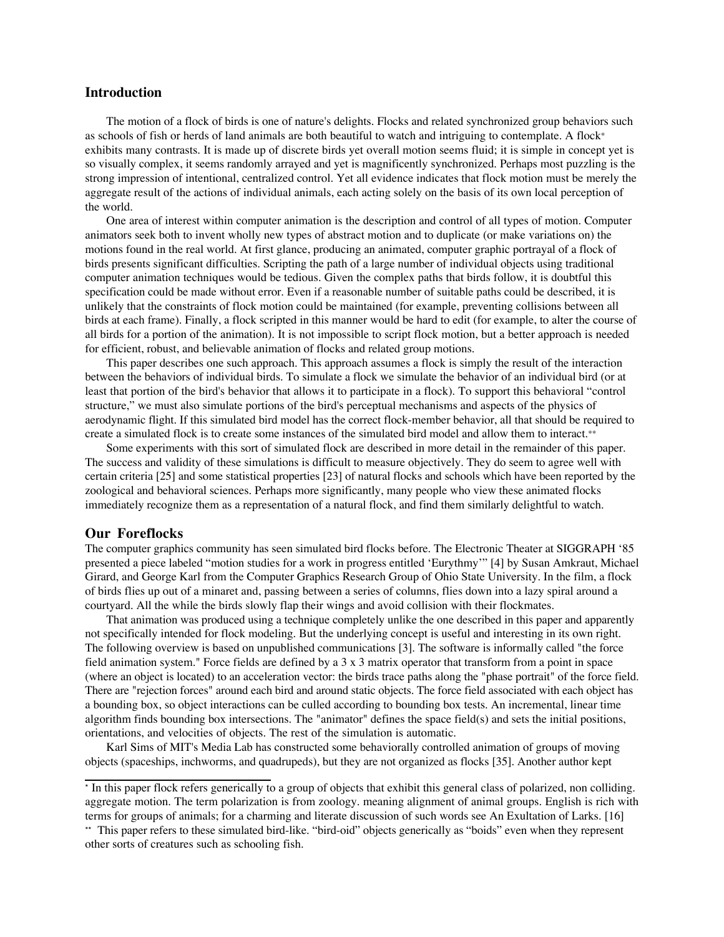## **Introduction**

The motion of a flock of birds is one of nature's delights. Flocks and related synchronized group behaviors such as schools of fish or herds of land animals are both beautiful to watch and intriguing to contemplate. A flock\* exhibits many contrasts. It is made up of discrete birds yet overall motion seems fluid; it is simple in concept yet is so visually complex, it seems randomly arrayed and yet is magnificently synchronized. Perhaps most puzzling is the strong impression of intentional, centralized control. Yet all evidence indicates that flock motion must be merely the aggregate result of the actions of individual animals, each acting solely on the basis of its own local perception of the world.

One area of interest within computer animation is the description and control of all types of motion. Computer animators seek both to invent wholly new types of abstract motion and to duplicate (or make variations on) the motions found in the real world. At first glance, producing an animated, computer graphic portrayal of a flock of birds presents significant difficulties. Scripting the path of a large number of individual objects using traditional computer animation techniques would be tedious. Given the complex paths that birds follow, it is doubtful this specification could be made without error. Even if a reasonable number of suitable paths could be described, it is unlikely that the constraints of flock motion could be maintained (for example, preventing collisions between all birds at each frame). Finally, a flock scripted in this manner would be hard to edit (for example, to alter the course of all birds for a portion of the animation). It is not impossible to script flock motion, but a better approach is needed for efficient, robust, and believable animation of flocks and related group motions.

This paper describes one such approach. This approach assumes a flock is simply the result of the interaction between the behaviors of individual birds. To simulate a flock we simulate the behavior of an individual bird (or at least that portion of the bird's behavior that allows it to participate in a flock). To support this behavioral "control structure," we must also simulate portions of the bird's perceptual mechanisms and aspects of the physics of aerodynamic flight. If this simulated bird model has the correct flock-member behavior, all that should be required to create a simulated flock is to create some instances of the simulated bird model and allow them to interact.\*\*

Some experiments with this sort of simulated flock are described in more detail in the remainder of this paper. The success and validity of these simulations is difficult to measure objectively. They do seem to agree well with certain criteria [25] and some statistical properties [23] of natural flocks and schools which have been reported by the zoological and behavioral sciences. Perhaps more significantly, many people who view these animated flocks immediately recognize them as a representation of a natural flock, and find them similarly delightful to watch.

#### **Our Foreflocks**

The computer graphics community has seen simulated bird flocks before. The Electronic Theater at SIGGRAPH '85 presented a piece labeled "motion studies for a work in progress entitled 'Eurythmy'" [4] by Susan Amkraut, Michael Girard, and George Karl from the Computer Graphics Research Group of Ohio State University. In the film, a flock of birds flies up out of a minaret and, passing between a series of columns, flies down into a lazy spiral around a courtyard. All the while the birds slowly flap their wings and avoid collision with their flockmates.

That animation was produced using a technique completely unlike the one described in this paper and apparently not specifically intended for flock modeling. But the underlying concept is useful and interesting in its own right. The following overview is based on unpublished communications [3]. The software is informally called "the force field animation system." Force fields are defined by a 3 x 3 matrix operator that transform from a point in space (where an object is located) to an acceleration vector: the birds trace paths along the "phase portrait" of the force field. There are "rejection forces" around each bird and around static objects. The force field associated with each object has a bounding box, so object interactions can be culled according to bounding box tests. An incremental, linear time algorithm finds bounding box intersections. The "animator" defines the space field(s) and sets the initial positions, orientations, and velocities of objects. The rest of the simulation is automatic.

Karl Sims of MIT's Media Lab has constructed some behaviorally controlled animation of groups of moving objects (spaceships, inchworms, and quadrupeds), but they are not organized as flocks [35]. Another author kept

<sup>\*</sup> In this paper flock refers generically to a group of objects that exhibit this general class of polarized, non colliding. aggregate motion. The term polarization is from zoology. meaning alignment of animal groups. English is rich with terms for groups of animals; for a charming and literate discussion of such words see An Exultation of Larks. [16] \*\* This paper refers to these simulated bird-like. "bird-oid" objects generically as "boids" even when they represent

other sorts of creatures such as schooling fish.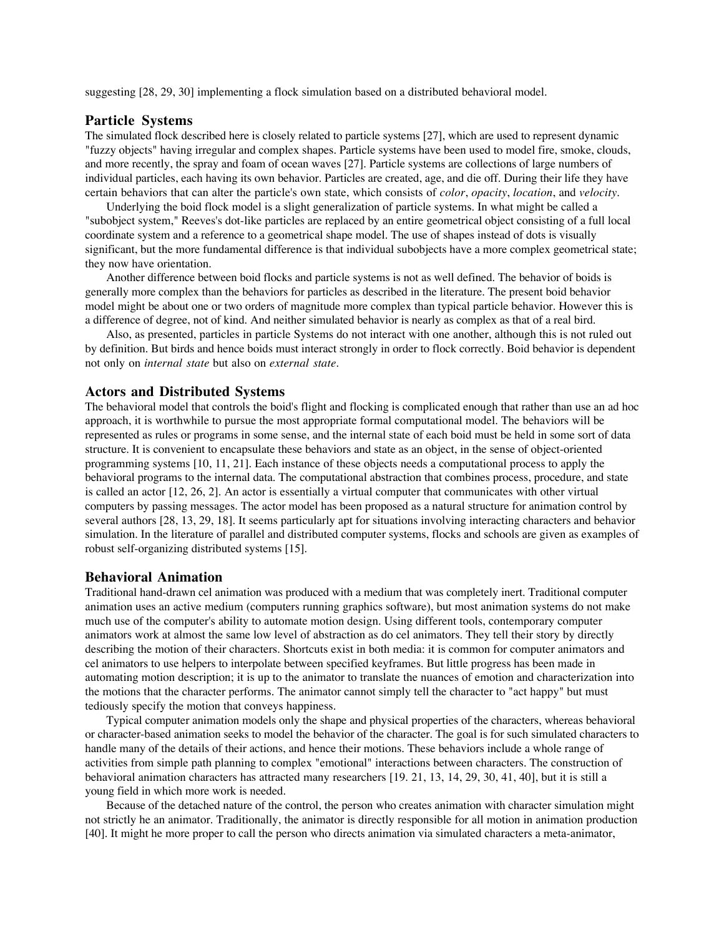suggesting [28, 29, 30] implementing a flock simulation based on a distributed behavioral model.

#### **Particle Systems**

The simulated flock described here is closely related to particle systems [27], which are used to represent dynamic "fuzzy objects" having irregular and complex shapes. Particle systems have been used to model fire, smoke, clouds, and more recently, the spray and foam of ocean waves [27]. Particle systems are collections of large numbers of individual particles, each having its own behavior. Particles are created, age, and die off. During their life they have certain behaviors that can alter the particle's own state, which consists of *color*, *opacity*, *location*, and *velocity*.

Underlying the boid flock model is a slight generalization of particle systems. In what might be called a "subobject system," Reeves's dot-like particles are replaced by an entire geometrical object consisting of a full local coordinate system and a reference to a geometrical shape model. The use of shapes instead of dots is visually significant, but the more fundamental difference is that individual subobjects have a more complex geometrical state; they now have orientation.

Another difference between boid flocks and particle systems is not as well defined. The behavior of boids is generally more complex than the behaviors for particles as described in the literature. The present boid behavior model might be about one or two orders of magnitude more complex than typical particle behavior. However this is a difference of degree, not of kind. And neither simulated behavior is nearly as complex as that of a real bird.

Also, as presented, particles in particle Systems do not interact with one another, although this is not ruled out by definition. But birds and hence boids must interact strongly in order to flock correctly. Boid behavior is dependent not only on *internal state* but also on *external state*.

#### **Actors and Distributed Systems**

The behavioral model that controls the boid's flight and flocking is complicated enough that rather than use an ad hoc approach, it is worthwhile to pursue the most appropriate formal computational model. The behaviors will be represented as rules or programs in some sense, and the internal state of each boid must be held in some sort of data structure. It is convenient to encapsulate these behaviors and state as an object, in the sense of object-oriented programming systems [10, 11, 21]. Each instance of these objects needs a computational process to apply the behavioral programs to the internal data. The computational abstraction that combines process, procedure, and state is called an actor [12, 26, 2]. An actor is essentially a virtual computer that communicates with other virtual computers by passing messages. The actor model has been proposed as a natural structure for animation control by several authors [28, 13, 29, 18]. It seems particularly apt for situations involving interacting characters and behavior simulation. In the literature of parallel and distributed computer systems, flocks and schools are given as examples of robust self-organizing distributed systems [15].

#### **Behavioral Animation**

Traditional hand-drawn cel animation was produced with a medium that was completely inert. Traditional computer animation uses an active medium (computers running graphics software), but most animation systems do not make much use of the computer's ability to automate motion design. Using different tools, contemporary computer animators work at almost the same low level of abstraction as do cel animators. They tell their story by directly describing the motion of their characters. Shortcuts exist in both media: it is common for computer animators and cel animators to use helpers to interpolate between specified keyframes. But little progress has been made in automating motion description; it is up to the animator to translate the nuances of emotion and characterization into the motions that the character performs. The animator cannot simply tell the character to "act happy" but must tediously specify the motion that conveys happiness.

Typical computer animation models only the shape and physical properties of the characters, whereas behavioral or character-based animation seeks to model the behavior of the character. The goal is for such simulated characters to handle many of the details of their actions, and hence their motions. These behaviors include a whole range of activities from simple path planning to complex "emotional" interactions between characters. The construction of behavioral animation characters has attracted many researchers [19. 21, 13, 14, 29, 30, 41, 40], but it is still a young field in which more work is needed.

Because of the detached nature of the control, the person who creates animation with character simulation might not strictly he an animator. Traditionally, the animator is directly responsible for all motion in animation production [40]. It might he more proper to call the person who directs animation via simulated characters a meta-animator,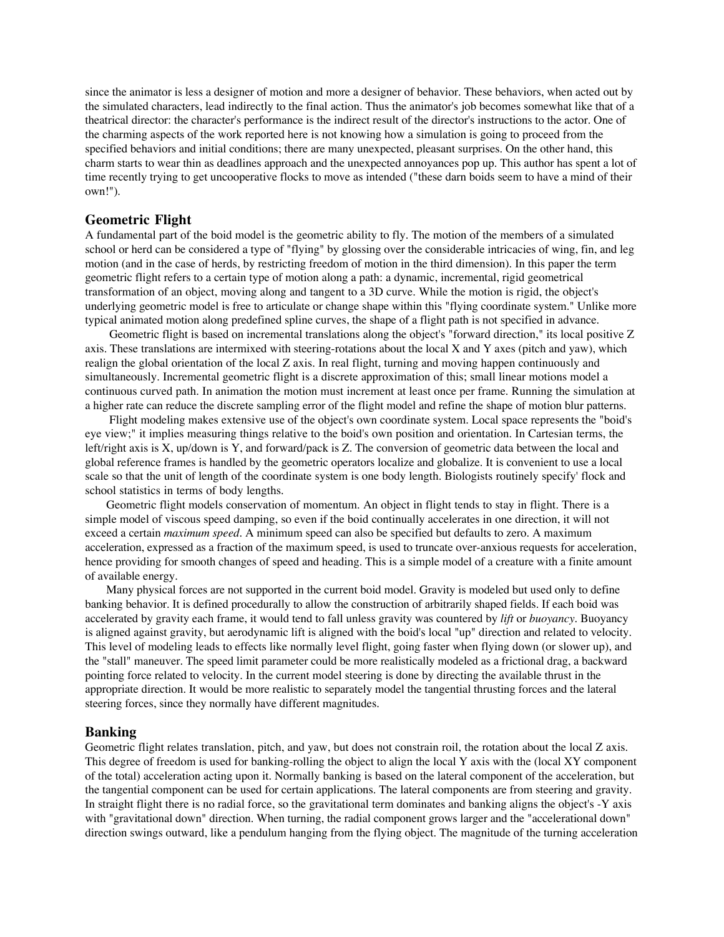since the animator is less a designer of motion and more a designer of behavior. These behaviors, when acted out by the simulated characters, lead indirectly to the final action. Thus the animator's job becomes somewhat like that of a theatrical director: the character's performance is the indirect result of the director's instructions to the actor. One of the charming aspects of the work reported here is not knowing how a simulation is going to proceed from the specified behaviors and initial conditions; there are many unexpected, pleasant surprises. On the other hand, this charm starts to wear thin as deadlines approach and the unexpected annoyances pop up. This author has spent a lot of time recently trying to get uncooperative flocks to move as intended ("these darn boids seem to have a mind of their own!").

#### **Geometric Flight**

A fundamental part of the boid model is the geometric ability to fly. The motion of the members of a simulated school or herd can be considered a type of "flying" by glossing over the considerable intricacies of wing, fin, and leg motion (and in the case of herds, by restricting freedom of motion in the third dimension). In this paper the term geometric flight refers to a certain type of motion along a path: a dynamic, incremental, rigid geometrical transformation of an object, moving along and tangent to a 3D curve. While the motion is rigid, the object's underlying geometric model is free to articulate or change shape within this "flying coordinate system." Unlike more typical animated motion along predefined spline curves, the shape of a flight path is not specified in advance.

 Geometric flight is based on incremental translations along the object's "forward direction," its local positive Z axis. These translations are intermixed with steering-rotations about the local X and Y axes (pitch and yaw), which realign the global orientation of the local Z axis. In real flight, turning and moving happen continuously and simultaneously. Incremental geometric flight is a discrete approximation of this; small linear motions model a continuous curved path. In animation the motion must increment at least once per frame. Running the simulation at a higher rate can reduce the discrete sampling error of the flight model and refine the shape of motion blur patterns.

 Flight modeling makes extensive use of the object's own coordinate system. Local space represents the "boid's eye view;" it implies measuring things relative to the boid's own position and orientation. In Cartesian terms, the left/right axis is X, up/down is Y, and forward/pack is Z. The conversion of geometric data between the local and global reference frames is handled by the geometric operators localize and globalize. It is convenient to use a local scale so that the unit of length of the coordinate system is one body length. Biologists routinely specify' flock and school statistics in terms of body lengths.

Geometric flight models conservation of momentum. An object in flight tends to stay in flight. There is a simple model of viscous speed damping, so even if the boid continually accelerates in one direction, it will not exceed a certain *maximum speed*. A minimum speed can also be specified but defaults to zero. A maximum acceleration, expressed as a fraction of the maximum speed, is used to truncate over-anxious requests for acceleration, hence providing for smooth changes of speed and heading. This is a simple model of a creature with a finite amount of available energy.

Many physical forces are not supported in the current boid model. Gravity is modeled but used only to define banking behavior. It is defined procedurally to allow the construction of arbitrarily shaped fields. If each boid was accelerated by gravity each frame, it would tend to fall unless gravity was countered by *lift* or *buoyancy*. Buoyancy is aligned against gravity, but aerodynamic lift is aligned with the boid's local "up" direction and related to velocity. This level of modeling leads to effects like normally level flight, going faster when flying down (or slower up), and the "stall" maneuver. The speed limit parameter could be more realistically modeled as a frictional drag, a backward pointing force related to velocity. In the current model steering is done by directing the available thrust in the appropriate direction. It would be more realistic to separately model the tangential thrusting forces and the lateral steering forces, since they normally have different magnitudes.

#### **Banking**

Geometric flight relates translation, pitch, and yaw, but does not constrain roil, the rotation about the local Z axis. This degree of freedom is used for banking-rolling the object to align the local Y axis with the (local XY component of the total) acceleration acting upon it. Normally banking is based on the lateral component of the acceleration, but the tangential component can be used for certain applications. The lateral components are from steering and gravity. In straight flight there is no radial force, so the gravitational term dominates and banking aligns the object's -Y axis with "gravitational down" direction. When turning, the radial component grows larger and the "accelerational down" direction swings outward, like a pendulum hanging from the flying object. The magnitude of the turning acceleration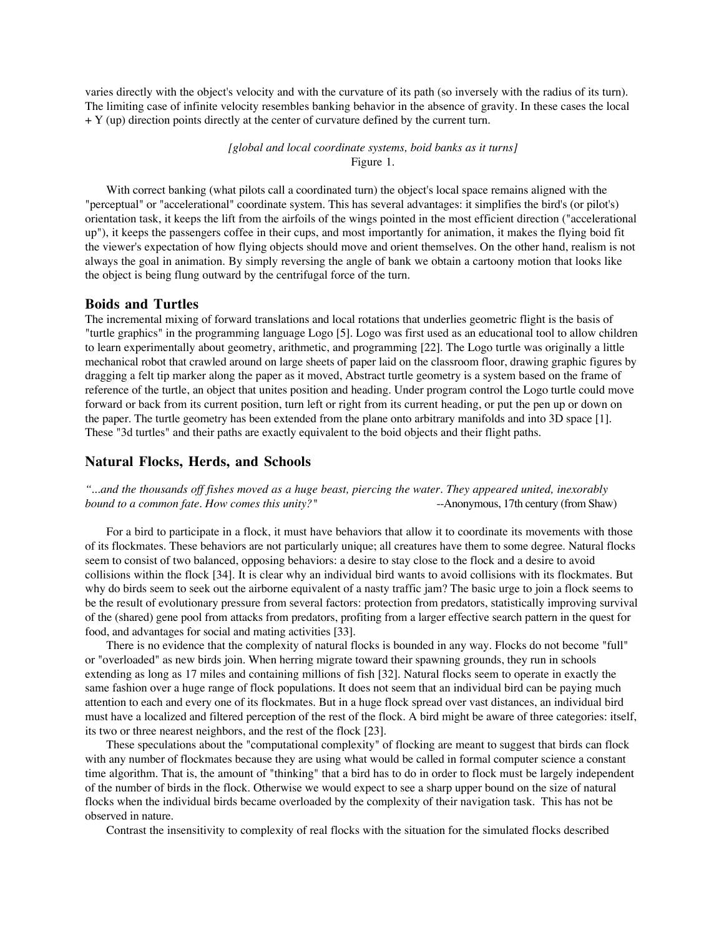varies directly with the object's velocity and with the curvature of its path (so inversely with the radius of its turn). The limiting case of infinite velocity resembles banking behavior in the absence of gravity. In these cases the local  $+$  Y (up) direction points directly at the center of curvature defined by the current turn.

> *[global and local coordinate systems, boid banks as it turns]* Figure 1.

With correct banking (what pilots call a coordinated turn) the object's local space remains aligned with the "perceptual" or "accelerational" coordinate system. This has several advantages: it simplifies the bird's (or pilot's) orientation task, it keeps the lift from the airfoils of the wings pointed in the most efficient direction ("accelerational up"), it keeps the passengers coffee in their cups, and most importantly for animation, it makes the flying boid fit the viewer's expectation of how flying objects should move and orient themselves. On the other hand, realism is not always the goal in animation. By simply reversing the angle of bank we obtain a cartoony motion that looks like the object is being flung outward by the centrifugal force of the turn.

#### **Boids and Turtles**

The incremental mixing of forward translations and local rotations that underlies geometric flight is the basis of "turtle graphics" in the programming language Logo [5]. Logo was first used as an educational tool to allow children to learn experimentally about geometry, arithmetic, and programming [22]. The Logo turtle was originally a little mechanical robot that crawled around on large sheets of paper laid on the classroom floor, drawing graphic figures by dragging a felt tip marker along the paper as it moved, Abstract turtle geometry is a system based on the frame of reference of the turtle, an object that unites position and heading. Under program control the Logo turtle could move forward or back from its current position, turn left or right from its current heading, or put the pen up or down on the paper. The turtle geometry has been extended from the plane onto arbitrary manifolds and into 3D space [1]. These "3d turtles" and their paths are exactly equivalent to the boid objects and their flight paths.

#### **Natural Flocks, Herds, and Schools**

*ì...and the thousands off fishes moved as a huge beast, piercing the water. They appeared united, inexorably bound to a common fate. How comes this unity?"* --Anonymous, 17th century (from Shaw)

For a bird to participate in a flock, it must have behaviors that allow it to coordinate its movements with those of its flockmates. These behaviors are not particularly unique; all creatures have them to some degree. Natural flocks seem to consist of two balanced, opposing behaviors: a desire to stay close to the flock and a desire to avoid collisions within the flock [34]. It is clear why an individual bird wants to avoid collisions with its flockmates. But why do birds seem to seek out the airborne equivalent of a nasty traffic jam? The basic urge to join a flock seems to be the result of evolutionary pressure from several factors: protection from predators, statistically improving survival of the (shared) gene pool from attacks from predators, profiting from a larger effective search pattern in the quest for food, and advantages for social and mating activities [33].

There is no evidence that the complexity of natural flocks is bounded in any way. Flocks do not become "full" or "overloaded" as new birds join. When herring migrate toward their spawning grounds, they run in schools extending as long as 17 miles and containing millions of fish [32]. Natural flocks seem to operate in exactly the same fashion over a huge range of flock populations. It does not seem that an individual bird can be paying much attention to each and every one of its flockmates. But in a huge flock spread over vast distances, an individual bird must have a localized and filtered perception of the rest of the flock. A bird might be aware of three categories: itself, its two or three nearest neighbors, and the rest of the flock [23].

These speculations about the "computational complexity" of flocking are meant to suggest that birds can flock with any number of flockmates because they are using what would be called in formal computer science a constant time algorithm. That is, the amount of "thinking" that a bird has to do in order to flock must be largely independent of the number of birds in the flock. Otherwise we would expect to see a sharp upper bound on the size of natural flocks when the individual birds became overloaded by the complexity of their navigation task. This has not be observed in nature.

Contrast the insensitivity to complexity of real flocks with the situation for the simulated flocks described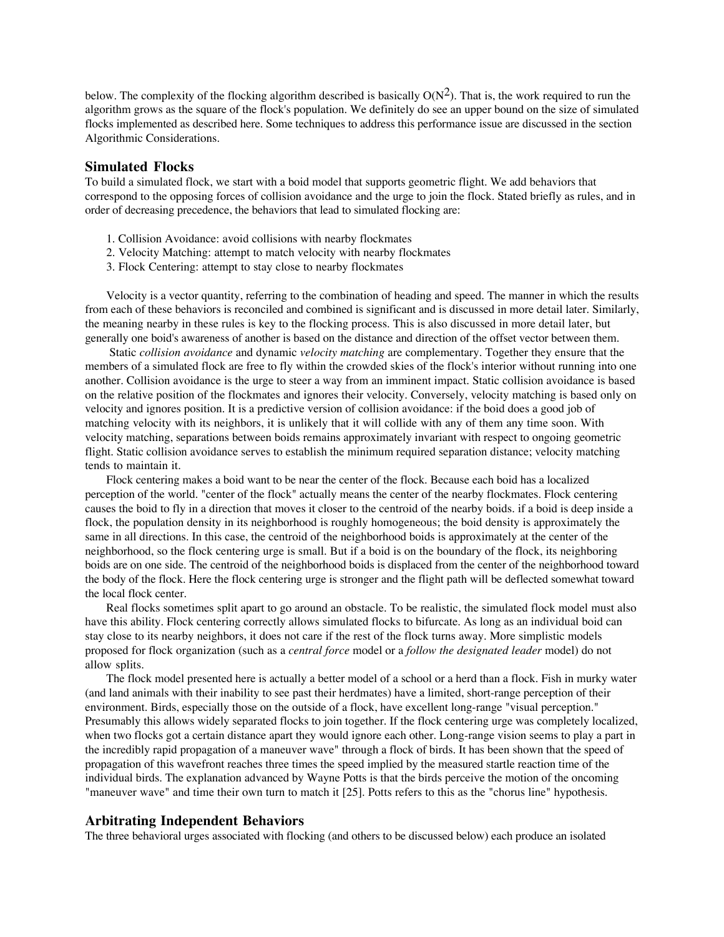below. The complexity of the flocking algorithm described is basically  $O(N^2)$ . That is, the work required to run the algorithm grows as the square of the flock's population. We definitely do see an upper bound on the size of simulated flocks implemented as described here. Some techniques to address this performance issue are discussed in the section Algorithmic Considerations.

#### **Simulated Flocks**

To build a simulated flock, we start with a boid model that supports geometric flight. We add behaviors that correspond to the opposing forces of collision avoidance and the urge to join the flock. Stated briefly as rules, and in order of decreasing precedence, the behaviors that lead to simulated flocking are:

- 1. Collision Avoidance: avoid collisions with nearby flockmates
- 2. Velocity Matching: attempt to match velocity with nearby flockmates
- 3. Flock Centering: attempt to stay close to nearby flockmates

Velocity is a vector quantity, referring to the combination of heading and speed. The manner in which the results from each of these behaviors is reconciled and combined is significant and is discussed in more detail later. Similarly, the meaning nearby in these rules is key to the flocking process. This is also discussed in more detail later, but generally one boid's awareness of another is based on the distance and direction of the offset vector between them.

 Static *collision avoidance* and dynamic *velocity matching* are complementary. Together they ensure that the members of a simulated flock are free to fly within the crowded skies of the flock's interior without running into one another. Collision avoidance is the urge to steer a way from an imminent impact. Static collision avoidance is based on the relative position of the flockmates and ignores their velocity. Conversely, velocity matching is based only on velocity and ignores position. It is a predictive version of collision avoidance: if the boid does a good job of matching velocity with its neighbors, it is unlikely that it will collide with any of them any time soon. With velocity matching, separations between boids remains approximately invariant with respect to ongoing geometric flight. Static collision avoidance serves to establish the minimum required separation distance; velocity matching tends to maintain it.

Flock centering makes a boid want to be near the center of the flock. Because each boid has a localized perception of the world. "center of the flock" actually means the center of the nearby flockmates. Flock centering causes the boid to fly in a direction that moves it closer to the centroid of the nearby boids. if a boid is deep inside a flock, the population density in its neighborhood is roughly homogeneous; the boid density is approximately the same in all directions. In this case, the centroid of the neighborhood boids is approximately at the center of the neighborhood, so the flock centering urge is small. But if a boid is on the boundary of the flock, its neighboring boids are on one side. The centroid of the neighborhood boids is displaced from the center of the neighborhood toward the body of the flock. Here the flock centering urge is stronger and the flight path will be deflected somewhat toward the local flock center.

Real flocks sometimes split apart to go around an obstacle. To be realistic, the simulated flock model must also have this ability. Flock centering correctly allows simulated flocks to bifurcate. As long as an individual boid can stay close to its nearby neighbors, it does not care if the rest of the flock turns away. More simplistic models proposed for flock organization (such as a *central force* model or a *follow the designated leader* model) do not allow splits.

The flock model presented here is actually a better model of a school or a herd than a flock. Fish in murky water (and land animals with their inability to see past their herdmates) have a limited, short-range perception of their environment. Birds, especially those on the outside of a flock, have excellent long-range "visual perception." Presumably this allows widely separated flocks to join together. If the flock centering urge was completely localized, when two flocks got a certain distance apart they would ignore each other. Long-range vision seems to play a part in the incredibly rapid propagation of a maneuver wave" through a flock of birds. It has been shown that the speed of propagation of this wavefront reaches three times the speed implied by the measured startle reaction time of the individual birds. The explanation advanced by Wayne Potts is that the birds perceive the motion of the oncoming "maneuver wave" and time their own turn to match it [25]. Potts refers to this as the "chorus line" hypothesis.

#### **Arbitrating Independent Behaviors**

The three behavioral urges associated with flocking (and others to be discussed below) each produce an isolated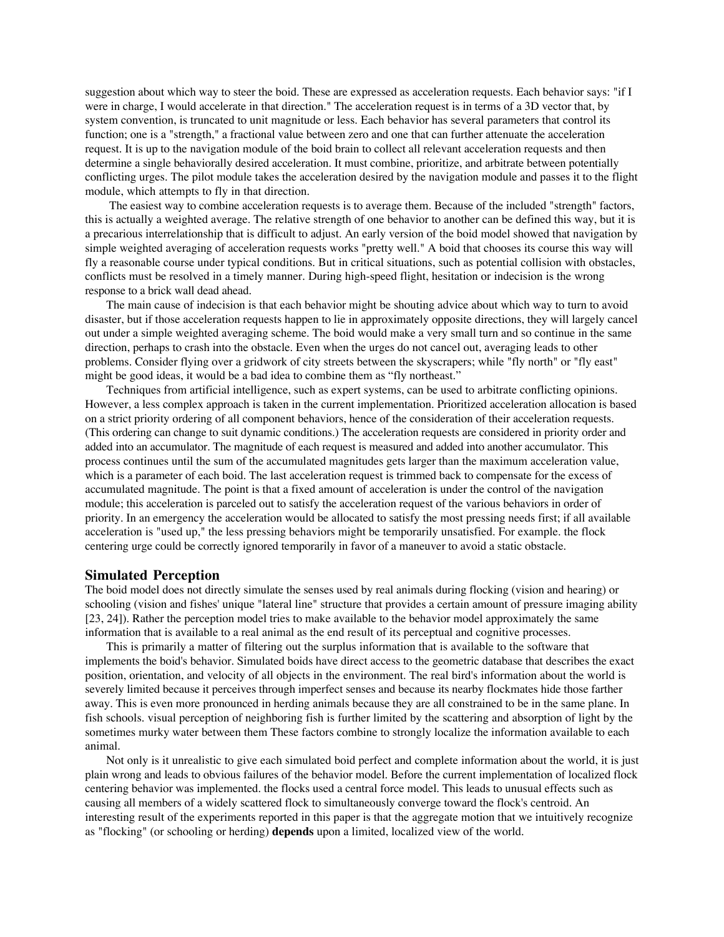suggestion about which way to steer the boid. These are expressed as acceleration requests. Each behavior says: "if I were in charge, I would accelerate in that direction." The acceleration request is in terms of a 3D vector that, by system convention, is truncated to unit magnitude or less. Each behavior has several parameters that control its function; one is a "strength," a fractional value between zero and one that can further attenuate the acceleration request. It is up to the navigation module of the boid brain to collect all relevant acceleration requests and then determine a single behaviorally desired acceleration. It must combine, prioritize, and arbitrate between potentially conflicting urges. The pilot module takes the acceleration desired by the navigation module and passes it to the flight module, which attempts to fly in that direction.

 The easiest way to combine acceleration requests is to average them. Because of the included "strength" factors, this is actually a weighted average. The relative strength of one behavior to another can be defined this way, but it is a precarious interrelationship that is difficult to adjust. An early version of the boid model showed that navigation by simple weighted averaging of acceleration requests works "pretty well." A boid that chooses its course this way will fly a reasonable course under typical conditions. But in critical situations, such as potential collision with obstacles, conflicts must be resolved in a timely manner. During high-speed flight, hesitation or indecision is the wrong response to a brick wall dead ahead.

The main cause of indecision is that each behavior might be shouting advice about which way to turn to avoid disaster, but if those acceleration requests happen to lie in approximately opposite directions, they will largely cancel out under a simple weighted averaging scheme. The boid would make a very small turn and so continue in the same direction, perhaps to crash into the obstacle. Even when the urges do not cancel out, averaging leads to other problems. Consider flying over a gridwork of city streets between the skyscrapers; while "fly north" or "fly east" might be good ideas, it would be a bad idea to combine them as "fly northeast."

Techniques from artificial intelligence, such as expert systems, can be used to arbitrate conflicting opinions. However, a less complex approach is taken in the current implementation. Prioritized acceleration allocation is based on a strict priority ordering of all component behaviors, hence of the consideration of their acceleration requests. (This ordering can change to suit dynamic conditions.) The acceleration requests are considered in priority order and added into an accumulator. The magnitude of each request is measured and added into another accumulator. This process continues until the sum of the accumulated magnitudes gets larger than the maximum acceleration value, which is a parameter of each boid. The last acceleration request is trimmed back to compensate for the excess of accumulated magnitude. The point is that a fixed amount of acceleration is under the control of the navigation module; this acceleration is parceled out to satisfy the acceleration request of the various behaviors in order of priority. In an emergency the acceleration would be allocated to satisfy the most pressing needs first; if all available acceleration is "used up," the less pressing behaviors might be temporarily unsatisfied. For example. the flock centering urge could be correctly ignored temporarily in favor of a maneuver to avoid a static obstacle.

#### **Simulated Perception**

The boid model does not directly simulate the senses used by real animals during flocking (vision and hearing) or schooling (vision and fishes' unique "lateral line" structure that provides a certain amount of pressure imaging ability [23, 24]). Rather the perception model tries to make available to the behavior model approximately the same information that is available to a real animal as the end result of its perceptual and cognitive processes.

This is primarily a matter of filtering out the surplus information that is available to the software that implements the boid's behavior. Simulated boids have direct access to the geometric database that describes the exact position, orientation, and velocity of all objects in the environment. The real bird's information about the world is severely limited because it perceives through imperfect senses and because its nearby flockmates hide those farther away. This is even more pronounced in herding animals because they are all constrained to be in the same plane. In fish schools. visual perception of neighboring fish is further limited by the scattering and absorption of light by the sometimes murky water between them These factors combine to strongly localize the information available to each animal.

Not only is it unrealistic to give each simulated boid perfect and complete information about the world, it is just plain wrong and leads to obvious failures of the behavior model. Before the current implementation of localized flock centering behavior was implemented. the flocks used a central force model. This leads to unusual effects such as causing all members of a widely scattered flock to simultaneously converge toward the flock's centroid. An interesting result of the experiments reported in this paper is that the aggregate motion that we intuitively recognize as "flocking" (or schooling or herding) **depends** upon a limited, localized view of the world.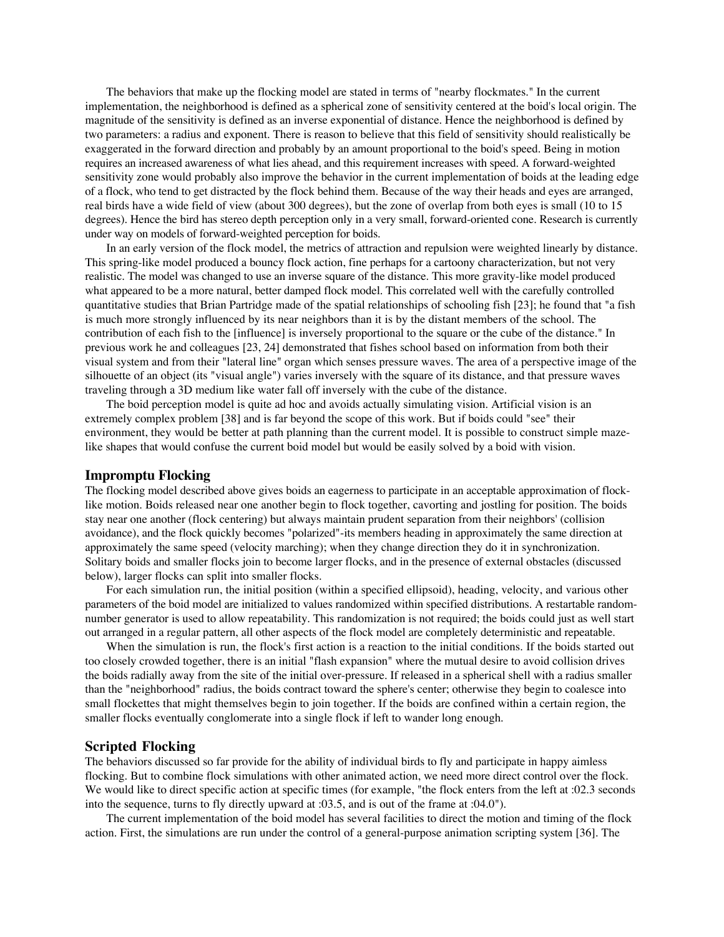The behaviors that make up the flocking model are stated in terms of "nearby flockmates." In the current implementation, the neighborhood is defined as a spherical zone of sensitivity centered at the boid's local origin. The magnitude of the sensitivity is defined as an inverse exponential of distance. Hence the neighborhood is defined by two parameters: a radius and exponent. There is reason to believe that this field of sensitivity should realistically be exaggerated in the forward direction and probably by an amount proportional to the boid's speed. Being in motion requires an increased awareness of what lies ahead, and this requirement increases with speed. A forward-weighted sensitivity zone would probably also improve the behavior in the current implementation of boids at the leading edge of a flock, who tend to get distracted by the flock behind them. Because of the way their heads and eyes are arranged, real birds have a wide field of view (about 300 degrees), but the zone of overlap from both eyes is small (10 to 15 degrees). Hence the bird has stereo depth perception only in a very small, forward-oriented cone. Research is currently under way on models of forward-weighted perception for boids.

In an early version of the flock model, the metrics of attraction and repulsion were weighted linearly by distance. This spring-like model produced a bouncy flock action, fine perhaps for a cartoony characterization, but not very realistic. The model was changed to use an inverse square of the distance. This more gravity-like model produced what appeared to be a more natural, better damped flock model. This correlated well with the carefully controlled quantitative studies that Brian Partridge made of the spatial relationships of schooling fish [23]; he found that "a fish is much more strongly influenced by its near neighbors than it is by the distant members of the school. The contribution of each fish to the [influence] is inversely proportional to the square or the cube of the distance." In previous work he and colleagues [23, 24] demonstrated that fishes school based on information from both their visual system and from their "lateral line" organ which senses pressure waves. The area of a perspective image of the silhouette of an object (its "visual angle") varies inversely with the square of its distance, and that pressure waves traveling through a 3D medium like water fall off inversely with the cube of the distance.

The boid perception model is quite ad hoc and avoids actually simulating vision. Artificial vision is an extremely complex problem [38] and is far beyond the scope of this work. But if boids could "see" their environment, they would be better at path planning than the current model. It is possible to construct simple mazelike shapes that would confuse the current boid model but would be easily solved by a boid with vision.

#### **Impromptu Flocking**

The flocking model described above gives boids an eagerness to participate in an acceptable approximation of flocklike motion. Boids released near one another begin to flock together, cavorting and jostling for position. The boids stay near one another (flock centering) but always maintain prudent separation from their neighbors' (collision avoidance), and the flock quickly becomes "polarized"-its members heading in approximately the same direction at approximately the same speed (velocity marching); when they change direction they do it in synchronization. Solitary boids and smaller flocks join to become larger flocks, and in the presence of external obstacles (discussed below), larger flocks can split into smaller flocks.

For each simulation run, the initial position (within a specified ellipsoid), heading, velocity, and various other parameters of the boid model are initialized to values randomized within specified distributions. A restartable randomnumber generator is used to allow repeatability. This randomization is not required; the boids could just as well start out arranged in a regular pattern, all other aspects of the flock model are completely deterministic and repeatable.

When the simulation is run, the flock's first action is a reaction to the initial conditions. If the boids started out too closely crowded together, there is an initial "flash expansion" where the mutual desire to avoid collision drives the boids radially away from the site of the initial over-pressure. If released in a spherical shell with a radius smaller than the "neighborhood" radius, the boids contract toward the sphere's center; otherwise they begin to coalesce into small flockettes that might themselves begin to join together. If the boids are confined within a certain region, the smaller flocks eventually conglomerate into a single flock if left to wander long enough.

#### **Scripted Flocking**

The behaviors discussed so far provide for the ability of individual birds to fly and participate in happy aimless flocking. But to combine flock simulations with other animated action, we need more direct control over the flock. We would like to direct specific action at specific times (for example, "the flock enters from the left at :02.3 seconds into the sequence, turns to fly directly upward at :03.5, and is out of the frame at :04.0").

The current implementation of the boid model has several facilities to direct the motion and timing of the flock action. First, the simulations are run under the control of a general-purpose animation scripting system [36]. The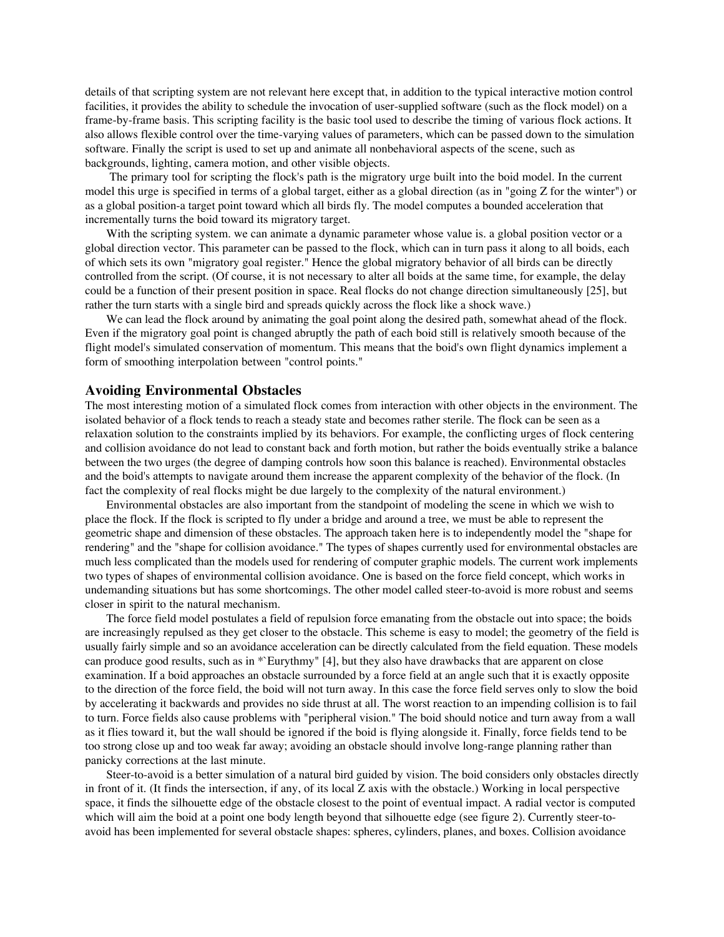details of that scripting system are not relevant here except that, in addition to the typical interactive motion control facilities, it provides the ability to schedule the invocation of user-supplied software (such as the flock model) on a frame-by-frame basis. This scripting facility is the basic tool used to describe the timing of various flock actions. It also allows flexible control over the time-varying values of parameters, which can be passed down to the simulation software. Finally the script is used to set up and animate all nonbehavioral aspects of the scene, such as backgrounds, lighting, camera motion, and other visible objects.

 The primary tool for scripting the flock's path is the migratory urge built into the boid model. In the current model this urge is specified in terms of a global target, either as a global direction (as in "going Z for the winter") or as a global position-a target point toward which all birds fly. The model computes a bounded acceleration that incrementally turns the boid toward its migratory target.

With the scripting system. we can animate a dynamic parameter whose value is. a global position vector or a global direction vector. This parameter can be passed to the flock, which can in turn pass it along to all boids, each of which sets its own "migratory goal register." Hence the global migratory behavior of all birds can be directly controlled from the script. (Of course, it is not necessary to alter all boids at the same time, for example, the delay could be a function of their present position in space. Real flocks do not change direction simultaneously [25], but rather the turn starts with a single bird and spreads quickly across the flock like a shock wave.)

We can lead the flock around by animating the goal point along the desired path, somewhat ahead of the flock. Even if the migratory goal point is changed abruptly the path of each boid still is relatively smooth because of the flight model's simulated conservation of momentum. This means that the boid's own flight dynamics implement a form of smoothing interpolation between "control points."

#### **Avoiding Environmental Obstacles**

The most interesting motion of a simulated flock comes from interaction with other objects in the environment. The isolated behavior of a flock tends to reach a steady state and becomes rather sterile. The flock can be seen as a relaxation solution to the constraints implied by its behaviors. For example, the conflicting urges of flock centering and collision avoidance do not lead to constant back and forth motion, but rather the boids eventually strike a balance between the two urges (the degree of damping controls how soon this balance is reached). Environmental obstacles and the boid's attempts to navigate around them increase the apparent complexity of the behavior of the flock. (In fact the complexity of real flocks might be due largely to the complexity of the natural environment.)

Environmental obstacles are also important from the standpoint of modeling the scene in which we wish to place the flock. If the flock is scripted to fly under a bridge and around a tree, we must be able to represent the geometric shape and dimension of these obstacles. The approach taken here is to independently model the "shape for rendering" and the "shape for collision avoidance." The types of shapes currently used for environmental obstacles are much less complicated than the models used for rendering of computer graphic models. The current work implements two types of shapes of environmental collision avoidance. One is based on the force field concept, which works in undemanding situations but has some shortcomings. The other model called steer-to-avoid is more robust and seems closer in spirit to the natural mechanism.

The force field model postulates a field of repulsion force emanating from the obstacle out into space; the boids are increasingly repulsed as they get closer to the obstacle. This scheme is easy to model; the geometry of the field is usually fairly simple and so an avoidance acceleration can be directly calculated from the field equation. These models can produce good results, such as in \*`Eurythmy" [4], but they also have drawbacks that are apparent on close examination. If a boid approaches an obstacle surrounded by a force field at an angle such that it is exactly opposite to the direction of the force field, the boid will not turn away. In this case the force field serves only to slow the boid by accelerating it backwards and provides no side thrust at all. The worst reaction to an impending collision is to fail to turn. Force fields also cause problems with "peripheral vision." The boid should notice and turn away from a wall as it flies toward it, but the wall should be ignored if the boid is flying alongside it. Finally, force fields tend to be too strong close up and too weak far away; avoiding an obstacle should involve long-range planning rather than panicky corrections at the last minute.

Steer-to-avoid is a better simulation of a natural bird guided by vision. The boid considers only obstacles directly in front of it. (It finds the intersection, if any, of its local Z axis with the obstacle.) Working in local perspective space, it finds the silhouette edge of the obstacle closest to the point of eventual impact. A radial vector is computed which will aim the boid at a point one body length beyond that silhouette edge (see figure 2). Currently steer-toavoid has been implemented for several obstacle shapes: spheres, cylinders, planes, and boxes. Collision avoidance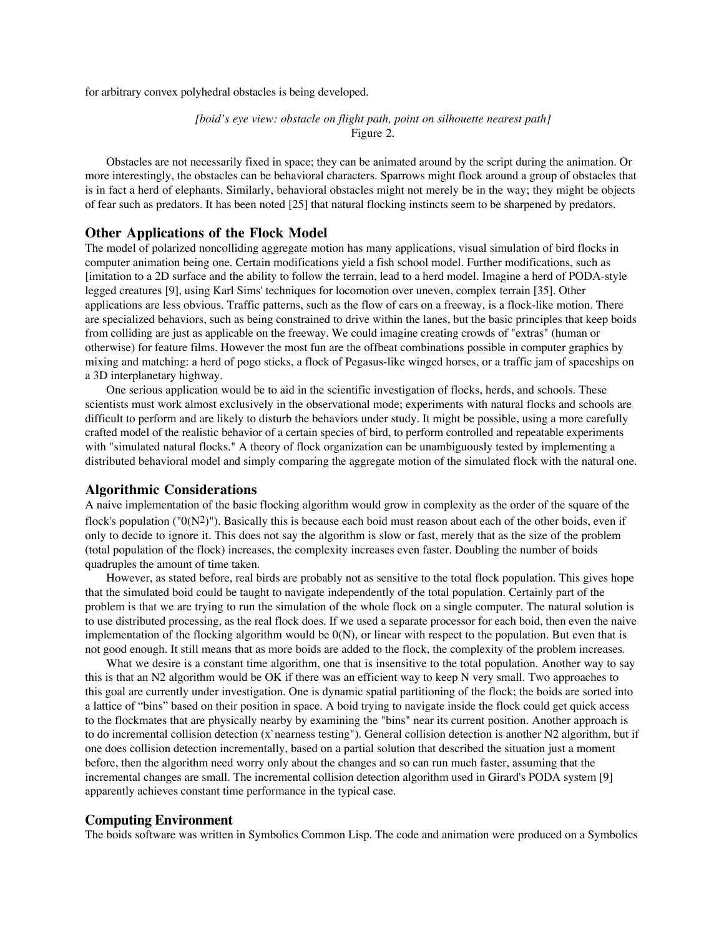for arbitrary convex polyhedral obstacles is being developed.

*[boid's eye view: obstacle on flight path, point on silhouette nearest path]* Figure 2.

Obstacles are not necessarily fixed in space; they can be animated around by the script during the animation. Or more interestingly, the obstacles can be behavioral characters. Sparrows might flock around a group of obstacles that is in fact a herd of elephants. Similarly, behavioral obstacles might not merely be in the way; they might be objects of fear such as predators. It has been noted [25] that natural flocking instincts seem to be sharpened by predators.

## **Other Applications of the Flock Model**

The model of polarized noncolliding aggregate motion has many applications, visual simulation of bird flocks in computer animation being one. Certain modifications yield a fish school model. Further modifications, such as [imitation to a 2D surface and the ability to follow the terrain, lead to a herd model. Imagine a herd of PODA-style legged creatures [9], using Karl Sims' techniques for locomotion over uneven, complex terrain [35]. Other applications are less obvious. Traffic patterns, such as the flow of cars on a freeway, is a flock-like motion. There are specialized behaviors, such as being constrained to drive within the lanes, but the basic principles that keep boids from colliding are just as applicable on the freeway. We could imagine creating crowds of "extras" (human or otherwise) for feature films. However the most fun are the offbeat combinations possible in computer graphics by mixing and matching: a herd of pogo sticks, a flock of Pegasus-like winged horses, or a traffic jam of spaceships on a 3D interplanetary highway.

One serious application would be to aid in the scientific investigation of flocks, herds, and schools. These scientists must work almost exclusively in the observational mode; experiments with natural flocks and schools are difficult to perform and are likely to disturb the behaviors under study. It might be possible, using a more carefully crafted model of the realistic behavior of a certain species of bird, to perform controlled and repeatable experiments with "simulated natural flocks." A theory of flock organization can be unambiguously tested by implementing a distributed behavioral model and simply comparing the aggregate motion of the simulated flock with the natural one.

#### **Algorithmic Considerations**

A naive implementation of the basic flocking algorithm would grow in complexity as the order of the square of the flock's population (" $0(N^2)$ "). Basically this is because each boid must reason about each of the other boids, even if only to decide to ignore it. This does not say the algorithm is slow or fast, merely that as the size of the problem (total population of the flock) increases, the complexity increases even faster. Doubling the number of boids quadruples the amount of time taken.

However, as stated before, real birds are probably not as sensitive to the total flock population. This gives hope that the simulated boid could be taught to navigate independently of the total population. Certainly part of the problem is that we are trying to run the simulation of the whole flock on a single computer. The natural solution is to use distributed processing, as the real flock does. If we used a separate processor for each boid, then even the naive implementation of the flocking algorithm would be  $O(N)$ , or linear with respect to the population. But even that is not good enough. It still means that as more boids are added to the flock, the complexity of the problem increases.

What we desire is a constant time algorithm, one that is insensitive to the total population. Another way to say this is that an N2 algorithm would be OK if there was an efficient way to keep N very small. Two approaches to this goal are currently under investigation. One is dynamic spatial partitioning of the flock; the boids are sorted into a lattice of "bins" based on their position in space. A boid trying to navigate inside the flock could get quick access to the flockmates that are physically nearby by examining the "bins" near its current position. Another approach is to do incremental collision detection (x`nearness testing"). General collision detection is another N2 algorithm, but if one does collision detection incrementally, based on a partial solution that described the situation just a moment before, then the algorithm need worry only about the changes and so can run much faster, assuming that the incremental changes are small. The incremental collision detection algorithm used in Girard's PODA system [9] apparently achieves constant time performance in the typical case.

#### **Computing Environment**

The boids software was written in Symbolics Common Lisp. The code and animation were produced on a Symbolics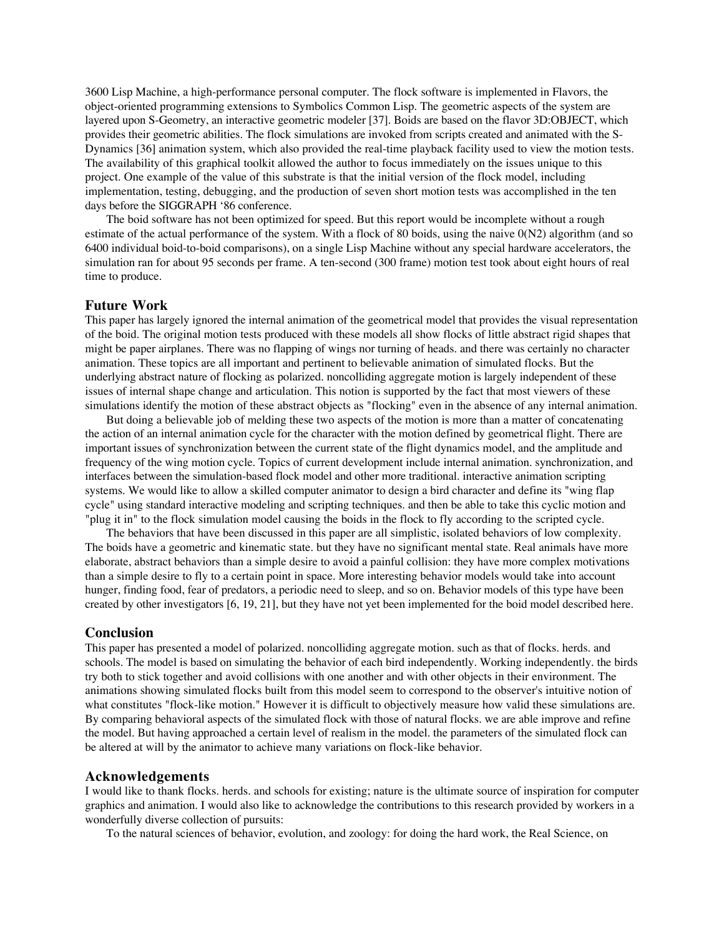3600 Lisp Machine, a high-performance personal computer. The flock software is implemented in Flavors, the object-oriented programming extensions to Symbolics Common Lisp. The geometric aspects of the system are layered upon S-Geometry, an interactive geometric modeler [37]. Boids are based on the flavor 3D:OBJECT, which provides their geometric abilities. The flock simulations are invoked from scripts created and animated with the S-Dynamics [36] animation system, which also provided the real-time playback facility used to view the motion tests. The availability of this graphical toolkit allowed the author to focus immediately on the issues unique to this project. One example of the value of this substrate is that the initial version of the flock model, including implementation, testing, debugging, and the production of seven short motion tests was accomplished in the ten days before the SIGGRAPH '86 conference.

The boid software has not been optimized for speed. But this report would be incomplete without a rough estimate of the actual performance of the system. With a flock of 80 boids, using the naive 0(N2) algorithm (and so 6400 individual boid-to-boid comparisons), on a single Lisp Machine without any special hardware accelerators, the simulation ran for about 95 seconds per frame. A ten-second (300 frame) motion test took about eight hours of real time to produce.

#### **Future Work**

This paper has largely ignored the internal animation of the geometrical model that provides the visual representation of the boid. The original motion tests produced with these models all show flocks of little abstract rigid shapes that might be paper airplanes. There was no flapping of wings nor turning of heads. and there was certainly no character animation. These topics are all important and pertinent to believable animation of simulated flocks. But the underlying abstract nature of flocking as polarized. noncolliding aggregate motion is largely independent of these issues of internal shape change and articulation. This notion is supported by the fact that most viewers of these simulations identify the motion of these abstract objects as "flocking" even in the absence of any internal animation.

But doing a believable job of melding these two aspects of the motion is more than a matter of concatenating the action of an internal animation cycle for the character with the motion defined by geometrical flight. There are important issues of synchronization between the current state of the flight dynamics model, and the amplitude and frequency of the wing motion cycle. Topics of current development include internal animation. synchronization, and interfaces between the simulation-based flock model and other more traditional. interactive animation scripting systems. We would like to allow a skilled computer animator to design a bird character and define its "wing flap cycle" using standard interactive modeling and scripting techniques. and then be able to take this cyclic motion and "plug it in" to the flock simulation model causing the boids in the flock to fly according to the scripted cycle.

The behaviors that have been discussed in this paper are all simplistic, isolated behaviors of low complexity. The boids have a geometric and kinematic state. but they have no significant mental state. Real animals have more elaborate, abstract behaviors than a simple desire to avoid a painful collision: they have more complex motivations than a simple desire to fly to a certain point in space. More interesting behavior models would take into account hunger, finding food, fear of predators, a periodic need to sleep, and so on. Behavior models of this type have been created by other investigators [6, 19, 21], but they have not yet been implemented for the boid model described here.

#### **Conclusion**

This paper has presented a model of polarized. noncolliding aggregate motion. such as that of flocks. herds. and schools. The model is based on simulating the behavior of each bird independently. Working independently. the birds try both to stick together and avoid collisions with one another and with other objects in their environment. The animations showing simulated flocks built from this model seem to correspond to the observer's intuitive notion of what constitutes "flock-like motion." However it is difficult to objectively measure how valid these simulations are. By comparing behavioral aspects of the simulated flock with those of natural flocks. we are able improve and refine the model. But having approached a certain level of realism in the model. the parameters of the simulated flock can be altered at will by the animator to achieve many variations on flock-like behavior.

#### **Acknowledgements**

I would like to thank flocks. herds. and schools for existing; nature is the ultimate source of inspiration for computer graphics and animation. I would also like to acknowledge the contributions to this research provided by workers in a wonderfully diverse collection of pursuits:

To the natural sciences of behavior, evolution, and zoology: for doing the hard work, the Real Science, on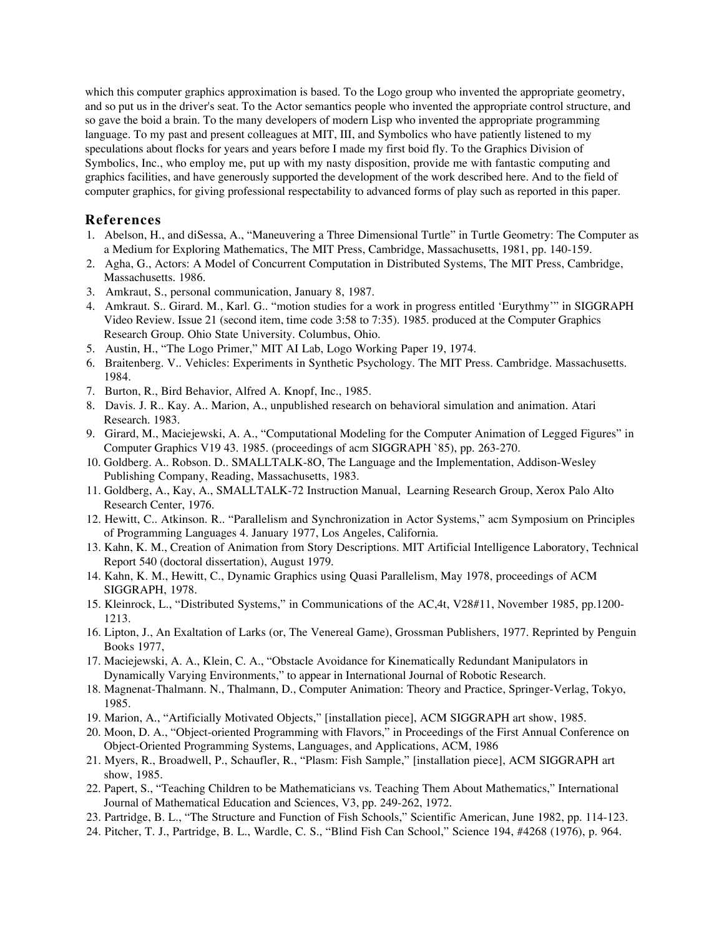which this computer graphics approximation is based. To the Logo group who invented the appropriate geometry, and so put us in the driver's seat. To the Actor semantics people who invented the appropriate control structure, and so gave the boid a brain. To the many developers of modern Lisp who invented the appropriate programming language. To my past and present colleagues at MIT, III, and Symbolics who have patiently listened to my speculations about flocks for years and years before I made my first boid fly. To the Graphics Division of Symbolics, Inc., who employ me, put up with my nasty disposition, provide me with fantastic computing and graphics facilities, and have generously supported the development of the work described here. And to the field of computer graphics, for giving professional respectability to advanced forms of play such as reported in this paper.

### **References**

- 1. Abelson, H., and diSessa, A., "Maneuvering a Three Dimensional Turtle" in Turtle Geometry: The Computer as a Medium for Exploring Mathematics, The MIT Press, Cambridge, Massachusetts, 1981, pp. 140-159.
- 2. Agha, G., Actors: A Model of Concurrent Computation in Distributed Systems, The MIT Press, Cambridge, Massachusetts. 1986.
- 3. Amkraut, S., personal communication, January 8, 1987.
- 4. Amkraut. S.. Girard. M., Karl. G.. "motion studies for a work in progress entitled 'Eurythmy'" in SIGGRAPH Video Review. Issue 21 (second item, time code 3:58 to 7:35). 1985. produced at the Computer Graphics Research Group. Ohio State University. Columbus, Ohio.
- 5. Austin, H., "The Logo Primer," MIT AI Lab, Logo Working Paper 19, 1974.
- 6. Braitenberg. V.. Vehicles: Experiments in Synthetic Psychology. The MIT Press. Cambridge. Massachusetts. 1984.
- 7. Burton, R., Bird Behavior, Alfred A. Knopf, Inc., 1985.
- 8. Davis. J. R.. Kay. A.. Marion, A., unpublished research on behavioral simulation and animation. Atari Research. 1983.
- 9. Girard, M., Maciejewski, A. A., "Computational Modeling for the Computer Animation of Legged Figures" in Computer Graphics V19 43. 1985. (proceedings of acm SIGGRAPH `85), pp. 263-270.
- 10. Goldberg. A.. Robson. D.. SMALLTALK-8O, The Language and the Implementation, Addison-Wesley Publishing Company, Reading, Massachusetts, 1983.
- 11. Goldberg, A., Kay, A., SMALLTALK-72 Instruction Manual, Learning Research Group, Xerox Palo Alto Research Center, 1976.
- 12. Hewitt, C.. Atkinson. R.. "Parallelism and Synchronization in Actor Systems," acm Symposium on Principles of Programming Languages 4. January 1977, Los Angeles, California.
- 13. Kahn, K. M., Creation of Animation from Story Descriptions. MIT Artificial Intelligence Laboratory, Technical Report 540 (doctoral dissertation), August 1979.
- 14. Kahn, K. M., Hewitt, C., Dynamic Graphics using Quasi Parallelism, May 1978, proceedings of ACM SIGGRAPH, 1978.
- 15. Kleinrock, L., "Distributed Systems," in Communications of the AC,4t, V28#11, November 1985, pp.1200-1213.
- 16. Lipton, J., An Exaltation of Larks (or, The Venereal Game), Grossman Publishers, 1977. Reprinted by Penguin Books 1977,
- 17. Maciejewski, A. A., Klein, C. A., "Obstacle Avoidance for Kinematically Redundant Manipulators in Dynamically Varying Environments," to appear in International Journal of Robotic Research.
- 18. Magnenat-Thalmann. N., Thalmann, D., Computer Animation: Theory and Practice, Springer-Verlag, Tokyo, 1985.
- 19. Marion, A., "Artificially Motivated Objects," [installation piece], ACM SIGGRAPH art show, 1985.
- 20. Moon, D. A., "Object-oriented Programming with Flavors," in Proceedings of the First Annual Conference on Object-Oriented Programming Systems, Languages, and Applications, ACM, 1986
- 21. Myers, R., Broadwell, P., Schaufler, R., "Plasm: Fish Sample," [installation piece], ACM SIGGRAPH art show, 1985.
- 22. Papert, S., "Teaching Children to be Mathematicians vs. Teaching Them About Mathematics," International Journal of Mathematical Education and Sciences, V3, pp. 249-262, 1972.
- 23. Partridge, B. L., "The Structure and Function of Fish Schools," Scientific American, June 1982, pp. 114-123.
- 24. Pitcher, T. J., Partridge, B. L., Wardle, C. S., "Blind Fish Can School," Science 194, #4268 (1976), p. 964.